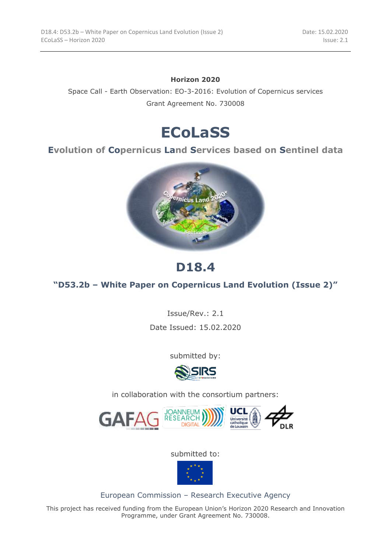#### **Horizon 2020**

Space Call - Earth Observation: EO-3-2016: Evolution of Copernicus services Grant Agreement No. 730008

# **ECoLaSS**

#### **Evolution of Copernicus Land Services based on Sentinel data**



# **D18.4**

#### **"D53.2b – White Paper on Copernicus Land Evolution (Issue 2)"**

Issue/Rev.: 2.1

Date Issued: 15.02.2020

submitted by:



in collaboration with the consortium partners:



submitted to:



European Commission – Research Executive Agency

This project has received funding from the European Union's Horizon 2020 Research and Innovation Programme, under Grant Agreement No. 730008.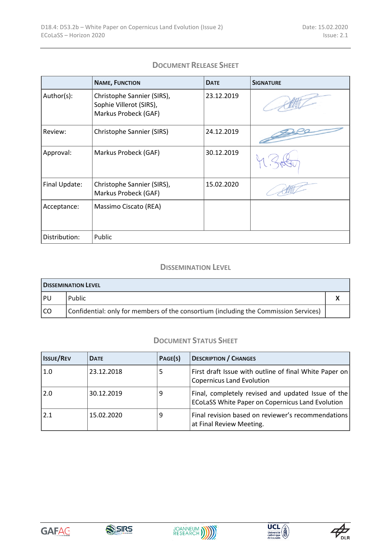#### **DOCUMENT RELEASE SHEET**

|               | <b>NAME, FUNCTION</b>                                                         | <b>DATE</b> | <b>SIGNATURE</b> |
|---------------|-------------------------------------------------------------------------------|-------------|------------------|
| Author(s):    | Christophe Sannier (SIRS),<br>Sophie Villerot (SIRS),<br>Markus Probeck (GAF) | 23.12.2019  |                  |
| Review:       | Christophe Sannier (SIRS)                                                     | 24.12.2019  |                  |
| Approval:     | Markus Probeck (GAF)                                                          | 30.12.2019  |                  |
| Final Update: | Christophe Sannier (SIRS),<br>Markus Probeck (GAF)                            | 15.02.2020  |                  |
| Acceptance:   | Massimo Ciscato (REA)                                                         |             |                  |
| Distribution: | Public                                                                        |             |                  |

#### **DISSEMINATION LEVEL**

| <b>DISSEMINATION LEVEL</b> |                                                                                      |  |  |  |
|----------------------------|--------------------------------------------------------------------------------------|--|--|--|
| PU                         | Public                                                                               |  |  |  |
| l CO                       | Confidential: only for members of the consortium (including the Commission Services) |  |  |  |

#### **DOCUMENT STATUS SHEET**

| <b>ISSUE/REV</b> | <b>DATE</b> | PAGE(S) | <b>DESCRIPTION / CHANGES</b>                                                                                  |
|------------------|-------------|---------|---------------------------------------------------------------------------------------------------------------|
| $\pm 1.0$        | 23.12.2018  | 5       | First draft Issue with outline of final White Paper on<br><b>Copernicus Land Evolution</b>                    |
| 2.0              | 30.12.2019  | 9       | Final, completely revised and updated Issue of the<br><b>ECoLaSS White Paper on Copernicus Land Evolution</b> |
| 2.1              | 15.02.2020  | 9       | Final revision based on reviewer's recommendations<br>at Final Review Meeting.                                |









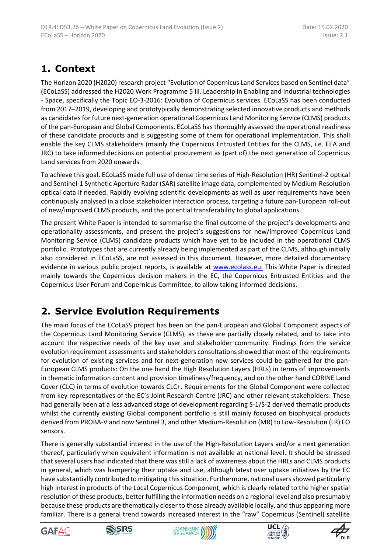## **1. Context**

The Horizon 2020 (H2020) research project "Evolution of Copernicus Land Services based on Sentinel data" (ECoLaSS) addressed the H2020 Work Programme 5 iii. Leadership in Enabling and Industrial technologies - Space, specifically the Topic EO-3-2016: Evolution of Copernicus services. ECoLaSS has been conducted from 2017–2019, developing and prototypically demonstrating selected innovative products and methods as candidates for future next-generation operational Copernicus Land Monitoring Service (CLMS) products of the pan-European and Global Components. ECoLaSS has thoroughly assessed the operational readiness of these candidate products and is suggesting some of them for operational implementation. This shall enable the key CLMS stakeholders (mainly the Copernicus Entrusted Entities for the CLMS, i.e. EEA and JRC) to take informed decisions on potential procurement as (part of) the next generation of Copernicus Land services from 2020 onwards.

To achieve this goal, ECoLaSS made full use of dense time series of High-Resolution (HR) Sentinel-2 optical and Sentinel-1 Synthetic Aperture Radar (SAR) satellite image data, complemented by Medium-Resolution optical data if needed. Rapidly evolving scientific developments as well as user requirements have been continuously analysed in a close stakeholder interaction process, targeting a future pan-European roll-out of new/improved CLMS products, and the potential transferability to global applications.

The present White Paper is intended to summarise the final outcome of the project's developments and operationality assessments, and present the project's suggestions for new/improved Copernicus Land Monitoring Service (CLMS) candidate products which have yet to be included in the operational CLMS portfolio. Prototypes that are currently already being implemented as part of the CLMS, although initially also considered in ECoLaSS, are not assessed in this document. However, more detailed documentary evidence in various public project reports, is available at [www.ecolass.eu.](http://www.ecolass.eu/) This White Paper is directed mainly towards the Copernicus decision makers in the EC, the Copernicus Entrusted Entities and the Copernicus User Forum and Copernicus Committee, to allow taking informed decisions.

## **2. Service Evolution Requirements**

The main focus of the ECoLaSS project has been on the pan-European and Global Component aspects of the Copernicus Land Monitoring Service (CLMS), as these are partially closely related, and to take into account the respective needs of the key user and stakeholder community. Findings from the service evolution requirement assessments and stakeholders consultations showed that most of the requirements for evolution of existing services and for next-generation new services could be gathered for the pan-European CLMS products: On the one hand the High Resolution Layers (HRLs) in terms of improvements in thematic information content and provision timeliness/frequency, and on the other hand CORINE Land Cover (CLC) in terms of evolution towards CLC+. Requirements for the Global Component were collected from key representatives of the EC's Joint Research Centre (JRC) and other relevant stakeholders. These had generally been at a less advanced stage of development regarding S-1/S-2 derived thematic products whilst the currently existing Global component portfolio is still mainly focused on biophysical products derived from PROBA-V and now Sentinel 3, and other Medium-Resolution (MR) to Low-Resolution (LR) EO sensors.

There is generally substantial interest in the use of the High-Resolution Layers and/or a next generation thereof, particularly when equivalent information is not available at national level. It should be stressed that several users had indicated that there was still a lack of awareness about the HRLs and CLMS products in general, which was hampering their uptake and use, although latest user uptake initiatives by the EC have substantially contributed to mitigating this situation. Furthermore, national users showed particularly high interest in products of the Local Copernicus Component, which is clearly related to the higher spatial resolution of these products, better fulfilling the information needs on a regional level and also presumably because these products are thematically closer to those already available locally, and thus appearing more familiar. There is a general trend towards increased interest in the "raw" Copernicus (Sentinel) satellite









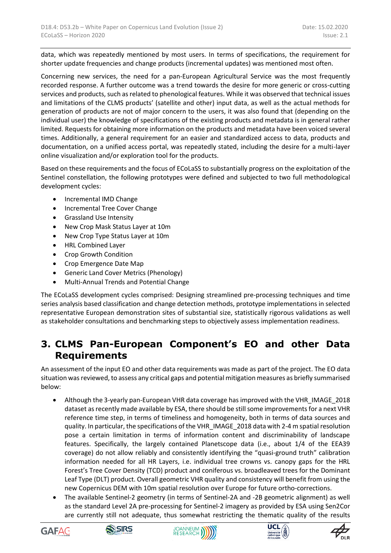data, which was repeatedly mentioned by most users. In terms of specifications, the requirement for shorter update frequencies and change products (incremental updates) was mentioned most often.

Concerning new services, the need for a pan-European Agricultural Service was the most frequently recorded response. A further outcome was a trend towards the desire for more generic or cross-cutting services and products, such as related to phenological features. While it was observed that technical issues and limitations of the CLMS products' (satellite and other) input data, as well as the actual methods for generation of products are not of major concern to the users, it was also found that (depending on the individual user) the knowledge of specifications of the existing products and metadata is in general rather limited. Requests for obtaining more information on the products and metadata have been voiced several times. Additionally, a general requirement for an easier and standardized access to data, products and documentation, on a unified access portal, was repeatedly stated, including the desire for a multi-layer online visualization and/or exploration tool for the products.

Based on these requirements and the focus of ECoLaSS to substantially progress on the exploitation of the Sentinel constellation, the following prototypes were defined and subjected to two full methodological development cycles:

- Incremental IMD Change
- Incremental Tree Cover Change
- Grassland Use Intensity
- New Crop Mask Status Layer at 10m
- New Crop Type Status Layer at 10m
- HRL Combined Layer
- Crop Growth Condition
- Crop Emergence Date Map
- Generic Land Cover Metrics (Phenology)
- Multi-Annual Trends and Potential Change

The ECoLaSS development cycles comprised: Designing streamlined pre-processing techniques and time series analysis based classification and change detection methods, prototype implementations in selected representative European demonstration sites of substantial size, statistically rigorous validations as well as stakeholder consultations and benchmarking steps to objectively assess implementation readiness.

### **3. CLMS Pan-European Component's EO and other Data Requirements**

An assessment of the input EO and other data requirements was made as part of the project. The EO data situation was reviewed, to assess any critical gaps and potential mitigation measures as briefly summarised below:

- Although the 3-yearly pan-European VHR data coverage has improved with the VHR\_IMAGE\_2018 dataset as recently made available by ESA, there should be still some improvements for a next VHR reference time step, in terms of timeliness and homogeneity, both in terms of data sources and quality. In particular, the specifications of the VHR\_IMAGE\_2018 data with 2-4 m spatial resolution pose a certain limitation in terms of information content and discriminability of landscape features. Specifically, the largely contained Planetscope data (i.e., about 1/4 of the EEA39 coverage) do not allow reliably and consistently identifying the "quasi-ground truth" calibration information needed for all HR Layers, i.e. individual tree crowns vs. canopy gaps for the HRL Forest's Tree Cover Density (TCD) product and coniferous vs. broadleaved trees for the Dominant Leaf Type (DLT) product. Overall geometric VHR quality and consistency will benefit from using the new Copernicus DEM with 10m spatial resolution over Europe for future ortho-corrections.
- The available Sentinel-2 geometry (in terms of Sentinel-2A and -2B geometric alignment) as well as the standard Level 2A pre-processing for Sentinel-2 imagery as provided by ESA using Sen2Cor are currently still not adequate, thus somewhat restricting the thematic quality of the results









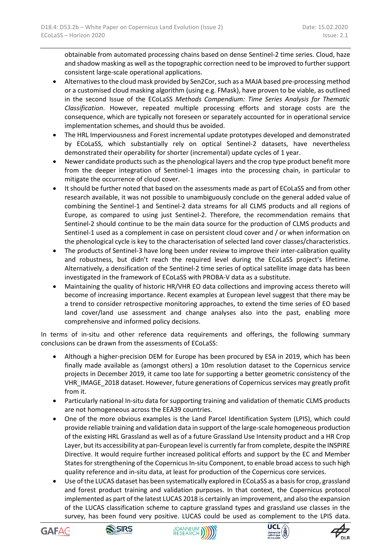obtainable from automated processing chains based on dense Sentinel-2 time series. Cloud, haze and shadow masking as well as the topographic correction need to be improved to further support consistent large-scale operational applications.

- Alternatives to the cloud mask provided by Sen2Cor, such as a MAJA based pre-processing method or a customised cloud masking algorithm (using e.g. FMask), have proven to be viable, as outlined in the second Issue of the ECoLaSS *Methods Compendium: Time Series Analysis for Thematic Classification*. However, repeated multiple processing efforts and storage costs are the consequence, which are typically not foreseen or separately accounted for in operational service implementation schemes, and should thus be avoided.
- The HRL Imperviousness and Forest incremental update prototypes developed and demonstrated by ECoLaSS, which substantially rely on optical Sentinel-2 datasets, have nevertheless demonstrated their operability for shorter (incremental) update cycles of 1 year.
- Newer candidate products such as the phenological layers and the crop type product benefit more from the deeper integration of Sentinel-1 images into the processing chain, in particular to mitigate the occurrence of cloud cover.
- It should be further noted that based on the assessments made as part of ECoLaSS and from other research available, it was not possible to unambiguously conclude on the general added value of combining the Sentinel-1 and Sentinel-2 data streams for all CLMS products and all regions of Europe, as compared to using just Sentinel-2. Therefore, the recommendation remains that Sentinel-2 should continue to be the main data source for the production of CLMS products and Sentinel-1 used as a complement in case on persistent cloud cover and / or when information on the phenological cycle is key to the characterisation of selected land cover classes/characteristics.
- The products of Sentinel-3 have long been under review to improve their inter-calibration quality and robustness, but didn't reach the required level during the ECoLaSS project's lifetime. Alternatively, a densification of the Sentinel-2 time series of optical satellite image data has been investigated in the framework of ECoLaSS with PROBA-V data as a substitute.
- Maintaining the quality of historic HR/VHR EO data collections and improving access thereto will become of increasing importance. Recent examples at European level suggest that there may be a trend to consider retrospective monitoring approaches, to extend the time series of EO based land cover/land use assessment and change analyses also into the past, enabling more comprehensive and informed policy decisions.

In terms of in-situ and other reference data requirements and offerings, the following summary conclusions can be drawn from the assessments of ECoLaSS:

- Although a higher-precision DEM for Europe has been procured by ESA in 2019, which has been finally made available as (amongst others) a 10m resolution dataset to the Copernicus service projects in December 2019, it came too late for supporting a better geometric consistency of the VHR\_IMAGE\_2018 dataset. However, future generations of Copernicus services may greatly profit from it.
- Particularly national In-situ data for supporting training and validation of thematic CLMS products are not homogeneous across the EEA39 countries.
- One of the more obvious examples is the Land Parcel Identification System (LPIS), which could provide reliable training and validation data in support of the large-scale homogeneous production of the existing HRL Grassland as well as of a future Grassland Use Intensity product and a HR Crop Layer, but its accessibility at pan-European level is currently far from complete, despite the INSPIRE Directive. It would require further increased political efforts and support by the EC and Member States for strengthening of the Copernicus In-situ Component, to enable broad access to such high quality reference and in-situ data, at least for production of the Copernicus core services.
- Use of the LUCAS dataset has been systematically explored in ECoLaSS as a basis for crop, grassland and forest product training and validation purposes. In that context, the Copernicus protocol implemented as part of the latest LUCAS 2018 is certainly an improvement, and also the expansion of the LUCAS classification scheme to capture grassland types and grassland use classes in the survey, has been found very positive. LUCAS could be used as complement to the LPIS data.









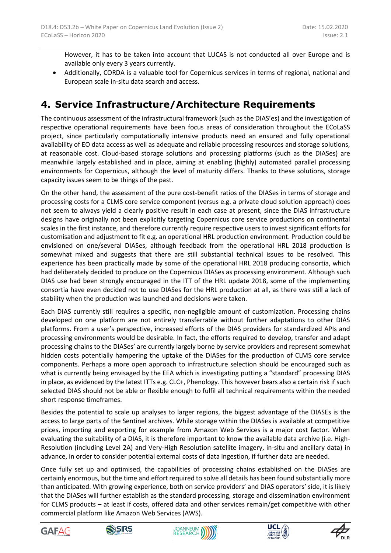However, it has to be taken into account that LUCAS is not conducted all over Europe and is available only every 3 years currently.

 Additionally, CORDA is a valuable tool for Copernicus services in terms of regional, national and European scale in-situ data search and access.

### **4. Service Infrastructure/Architecture Requirements**

The continuous assessment of the infrastructural framework (such as the DIAS'es) and the investigation of respective operational requirements have been focus areas of consideration throughout the ECoLaSS project, since particularly computationally intensive products need an ensured and fully operational availability of EO data access as well as adequate and reliable processing resources and storage solutions, at reasonable cost. Cloud-based storage solutions and processing platforms (such as the DIASes) are meanwhile largely established and in place, aiming at enabling (highly) automated parallel processing environments for Copernicus, although the level of maturity differs. Thanks to these solutions, storage capacity issues seem to be things of the past.

On the other hand, the assessment of the pure cost-benefit ratios of the DIASes in terms of storage and processing costs for a CLMS core service component (versus e.g. a private cloud solution approach) does not seem to always yield a clearly positive result in each case at present, since the DIAS infrastructure designs have originally not been explicitly targeting Copernicus core service productions on continental scales in the first instance, and therefore currently require respective users to invest significant efforts for customisation and adjustment to fit e.g. an operational HRL production environment. Production could be envisioned on one/several DIASes, although feedback from the operational HRL 2018 production is somewhat mixed and suggests that there are still substantial technical issues to be resolved. This experience has been practically made by some of the operational HRL 2018 producing consortia, which had deliberately decided to produce on the Copernicus DIASes as processing environment. Although such DIAS use had been strongly encouraged in the ITT of the HRL update 2018, some of the implementing consortia have even decided not to use DIASes for the HRL production at all, as there was still a lack of stability when the production was launched and decisions were taken.

Each DIAS currently still requires a specific, non-negligible amount of customization. Processing chains developed on one platform are not entirely transferrable without further adaptations to other DIAS platforms. From a user's perspective, increased efforts of the DIAS providers for standardized APIs and processing environments would be desirable. In fact, the efforts required to develop, transfer and adapt processing chains to the DIASes' are currently largely borne by service providers and represent somewhat hidden costs potentially hampering the uptake of the DIASes for the production of CLMS core service components. Perhaps a more open approach to infrastructure selection should be encouraged such as what is currently being envisaged by the EEA which is investigating putting a "standard" processing DIAS in place, as evidenced by the latest ITTs e.g. CLC+, Phenology. This however bears also a certain risk if such selected DIAS should not be able or flexible enough to fulfil all technical requirements within the needed short response timeframes.

Besides the potential to scale up analyses to larger regions, the biggest advantage of the DIASEs is the access to large parts of the Sentinel archives. While storage within the DIASes is available at competitive prices, importing and exporting for example from Amazon Web Services is a major cost factor. When evaluating the suitability of a DIAS, it is therefore important to know the available data archive (i.e. High-Resolution (including Level 2A) and Very-High Resolution satellite imagery, in-situ and ancillary data) in advance, in order to consider potential external costs of data ingestion, if further data are needed.

Once fully set up and optimised, the capabilities of processing chains established on the DIASes are certainly enormous, but the time and effort required to solve all details has been found substantially more than anticipated. With growing experience, both on service providers' and DIAS operators' side, it is likely that the DIASes will further establish as the standard processing, storage and dissemination environment for CLMS products – at least if costs, offered data and other services remain/get competitive with other commercial platform like Amazon Web Services (AWS).









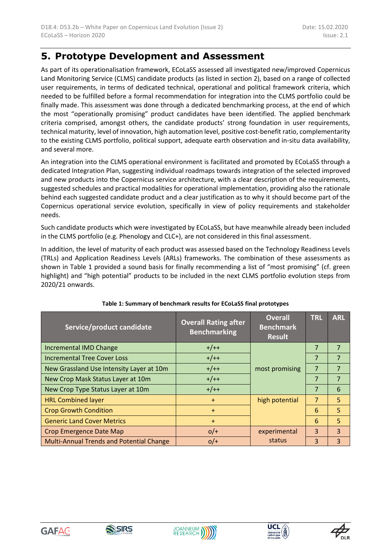### **5. Prototype Development and Assessment**

As part of its operationalisation framework, ECoLaSS assessed all investigated new/improved Copernicus Land Monitoring Service (CLMS) candidate products (as listed in section 2), based on a range of collected user requirements, in terms of dedicated technical, operational and political framework criteria, which needed to be fulfilled before a formal recommendation for integration into the CLMS portfolio could be finally made. This assessment was done through a dedicated benchmarking process, at the end of which the most "operationally promising" product candidates have been identified. The applied benchmark criteria comprised, amongst others, the candidate products' strong foundation in user requirements, technical maturity, level of innovation, high automation level, positive cost-benefit ratio, complementarity to the existing CLMS portfolio, political support, adequate earth observation and in-situ data availability, and several more.

An integration into the CLMS operational environment is facilitated and promoted by ECoLaSS through a dedicated Integration Plan, suggesting individual roadmaps towards integration of the selected improved and new products into the Copernicus service architecture, with a clear description of the requirements, suggested schedules and practical modalities for operational implementation, providing also the rationale behind each suggested candidate product and a clear justification as to why it should become part of the Copernicus operational service evolution, specifically in view of policy requirements and stakeholder needs.

Such candidate products which were investigated by ECoLaSS, but have meanwhile already been included in the CLMS portfolio (e.g. Phenology and CLC+), are not considered in this final assessment.

In addition, the level of maturity of each product was assessed based on the Technology Readiness Levels (TRLs) and Application Readiness Levels (ARLs) frameworks. The combination of these assessments as shown in [Table 1](#page-6-0) provided a sound basis for finally recommending a list of "most promising" (cf. green highlight) and "high potential" products to be included in the next CLMS portfolio evolution steps from 2020/21 onwards.

<span id="page-6-0"></span>

| Service/product candidate                | <b>Overall Rating after</b><br><b>Benchmarking</b> | <b>Overall</b><br><b>Benchmark</b><br><b>Result</b> | <b>TRL</b>     | <b>ARL</b>     |
|------------------------------------------|----------------------------------------------------|-----------------------------------------------------|----------------|----------------|
| <b>Incremental IMD Change</b>            | $+/++$                                             |                                                     | 7              | $\overline{7}$ |
| <b>Incremental Tree Cover Loss</b>       | $+/++$                                             |                                                     | 7              | $\overline{7}$ |
| New Grassland Use Intensity Layer at 10m | $+/++$                                             | most promising                                      | 7              | $\overline{7}$ |
| New Crop Mask Status Layer at 10m        | $+/++$                                             |                                                     | 7              | $\overline{7}$ |
| New Crop Type Status Layer at 10m        | $+/++$                                             |                                                     |                | 6              |
| <b>HRL Combined layer</b>                | $+$                                                | high potential                                      | $\overline{7}$ | 5              |
| <b>Crop Growth Condition</b>             | $+$                                                |                                                     | 6              | 5              |
| <b>Generic Land Cover Metrics</b>        | $+$                                                |                                                     | 6              | 5              |
| <b>Crop Emergence Date Map</b>           | $O/$ +                                             | experimental                                        | 3              | 3              |
| Multi-Annual Trends and Potential Change | $O/$ +                                             | status                                              | 3              | 3              |

#### **Table 1: Summary of benchmark results for ECoLaSS final prototypes**





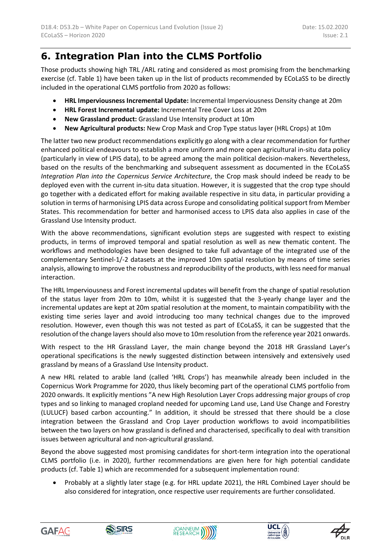### **6. Integration Plan into the CLMS Portfolio**

Those products showing high TRL /ARL rating and considered as most promising from the benchmarking exercise (cf. Table 1) have been taken up in the list of products recommended by ECoLaSS to be directly included in the operational CLMS portfolio from 2020 as follows:

- **HRL Imperviousness Incremental Update:** Incremental Imperviousness Density change at 20m
- **HRL Forest Incremental update:** Incremental Tree Cover Loss at 20m
- **New Grassland product:** Grassland Use Intensity product at 10m
- **New Agricultural products:** New Crop Mask and Crop Type status layer (HRL Crops) at 10m

The latter two new product recommendations explicitly go along with a clear recommendation for further enhanced political endeavours to establish a more uniform and more open agricultural in-situ data policy (particularly in view of LPIS data), to be agreed among the main political decision-makers. Nevertheless, based on the results of the benchmarking and subsequent assessment as documented in the ECoLaSS *Integration Plan into the Copernicus Service Architecture*, the Crop mask should indeed be ready to be deployed even with the current in-situ data situation. However, it is suggested that the crop type should go together with a dedicated effort for making available respective in situ data, in particular providing a solution in terms of harmonising LPIS data across Europe and consolidating political support from Member States. This recommendation for better and harmonised access to LPIS data also applies in case of the Grassland Use Intensity product.

With the above recommendations, significant evolution steps are suggested with respect to existing products, in terms of improved temporal and spatial resolution as well as new thematic content. The workflows and methodologies have been designed to take full advantage of the integrated use of the complementary Sentinel-1/-2 datasets at the improved 10m spatial resolution by means of time series analysis, allowing to improve the robustness and reproducibility of the products, with less need for manual interaction.

The HRL Imperviousness and Forest incremental updates will benefit from the change of spatial resolution of the status layer from 20m to 10m, whilst it is suggested that the 3-yearly change layer and the incremental updates are kept at 20m spatial resolution at the moment, to maintain compatibility with the existing time series layer and avoid introducing too many technical changes due to the improved resolution. However, even though this was not tested as part of ECoLaSS, it can be suggested that the resolution of the change layers should also move to 10m resolution from the reference year 2021 onwards.

With respect to the HR Grassland Layer, the main change beyond the 2018 HR Grassland Layer's operational specifications is the newly suggested distinction between intensively and extensively used grassland by means of a Grassland Use Intensity product.

A new HRL related to arable land (called 'HRL Crops') has meanwhile already been included in the Copernicus Work Programme for 2020, thus likely becoming part of the operational CLMS portfolio from 2020 onwards. It explicitly mentions "A new High Resolution Layer Crops addressing major groups of crop types and so linking to managed cropland needed for upcoming Land use, Land Use Change and Forestry (LULUCF) based carbon accounting." In addition, it should be stressed that there should be a close integration between the Grassland and Crop Layer production workflows to avoid incompatibilities between the two layers on how grassland is defined and characterised, specifically to deal with transition issues between agricultural and non-agricultural grassland.

Beyond the above suggested most promising candidates for short-term integration into the operational CLMS portfolio (i.e. in 2020), further recommendations are given here for high potential candidate products (cf. Table 1) which are recommended for a subsequent implementation round:

 Probably at a slightly later stage (e.g. for HRL update 2021), the HRL Combined Layer should be also considered for integration, once respective user requirements are further consolidated.